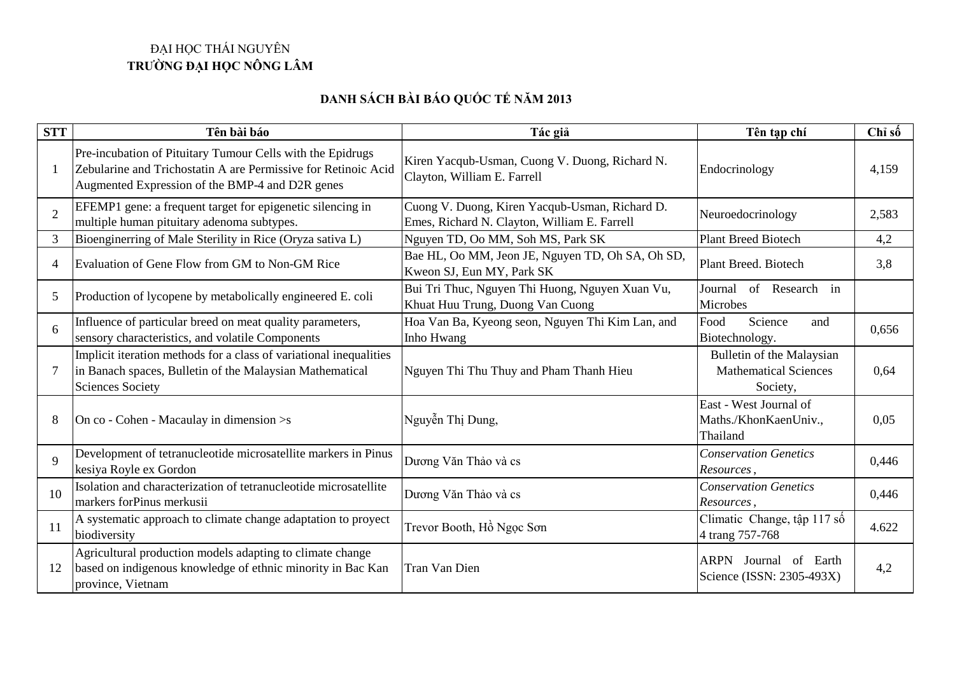## ĐẠI HỌC THÁI NGUYÊN **TRƯỜNG ĐẠI HỌC NÔNG LÂM**

## **DANH SÁCH BÀI BÁO QUỐC TẾ NĂM 2013**

| <b>STT</b>     | Tên bài báo                                                                                                                                                                     | Tác giả                                                                                        | Tên tạp chí                                                           | Chỉ số |
|----------------|---------------------------------------------------------------------------------------------------------------------------------------------------------------------------------|------------------------------------------------------------------------------------------------|-----------------------------------------------------------------------|--------|
|                | Pre-incubation of Pituitary Tumour Cells with the Epidrugs<br>Zebularine and Trichostatin A are Permissive for Retinoic Acid<br>Augmented Expression of the BMP-4 and D2R genes | Kiren Yacqub-Usman, Cuong V. Duong, Richard N.<br>Clayton, William E. Farrell                  | Endocrinology                                                         | 4,159  |
| $\overline{2}$ | EFEMP1 gene: a frequent target for epigenetic silencing in<br>multiple human pituitary adenoma subtypes.                                                                        | Cuong V. Duong, Kiren Yacqub-Usman, Richard D.<br>Emes, Richard N. Clayton, William E. Farrell | Neuroedocrinology                                                     | 2,583  |
| 3              | Bioenginerring of Male Sterility in Rice (Oryza sativa L)                                                                                                                       | Nguyen TD, Oo MM, Soh MS, Park SK                                                              | <b>Plant Breed Biotech</b>                                            | 4,2    |
| $\overline{4}$ | Evaluation of Gene Flow from GM to Non-GM Rice                                                                                                                                  | Bae HL, Oo MM, Jeon JE, Nguyen TD, Oh SA, Oh SD,<br>Kweon SJ, Eun MY, Park SK                  | Plant Breed. Biotech                                                  | 3,8    |
| 5              | Production of lycopene by metabolically engineered E. coli                                                                                                                      | Bui Tri Thuc, Nguyen Thi Huong, Nguyen Xuan Vu,<br>Khuat Huu Trung, Duong Van Cuong            | Journal<br>of Research in<br>Microbes                                 |        |
| 6              | Influence of particular breed on meat quality parameters,<br>sensory characteristics, and volatile Components                                                                   | Hoa Van Ba, Kyeong seon, Nguyen Thi Kim Lan, and<br>Inho Hwang                                 | Food<br>Science<br>and<br>Biotechnology.                              | 0,656  |
| 7              | Implicit iteration methods for a class of variational inequalities<br>in Banach spaces, Bulletin of the Malaysian Mathematical<br><b>Sciences Society</b>                       | Nguyen Thi Thu Thuy and Pham Thanh Hieu                                                        | Bulletin of the Malaysian<br><b>Mathematical Sciences</b><br>Society, | 0,64   |
| 8              | On co - Cohen - Macaulay in dimension > s                                                                                                                                       | Nguyễn Thị Dung,                                                                               | East - West Journal of<br>Maths./KhonKaenUniv.,<br>Thailand           | 0,05   |
| 9              | Development of tetranucleotide microsatellite markers in Pinus<br>kesiya Royle ex Gordon                                                                                        | Dương Văn Thảo và cs                                                                           | <b>Conservation Genetics</b><br>Resources,                            | 0,446  |
| 10             | Isolation and characterization of tetranucleotide microsatellite<br>markers forPinus merkusii                                                                                   | Dương Văn Thảo và cs                                                                           | <b>Conservation Genetics</b><br>Resources,                            | 0,446  |
| 11             | A systematic approach to climate change adaptation to proyect<br>biodiversity                                                                                                   | Trevor Booth, Hồ Ngọc Sơn                                                                      | Climatic Change, tập 117 số<br>4 trang 757-768                        | 4.622  |
| 12             | Agricultural production models adapting to climate change<br>based on indigenous knowledge of ethnic minority in Bac Kan<br>province, Vietnam                                   | Tran Van Dien                                                                                  | ARPN Journal of Earth<br>Science (ISSN: 2305-493X)                    | 4,2    |